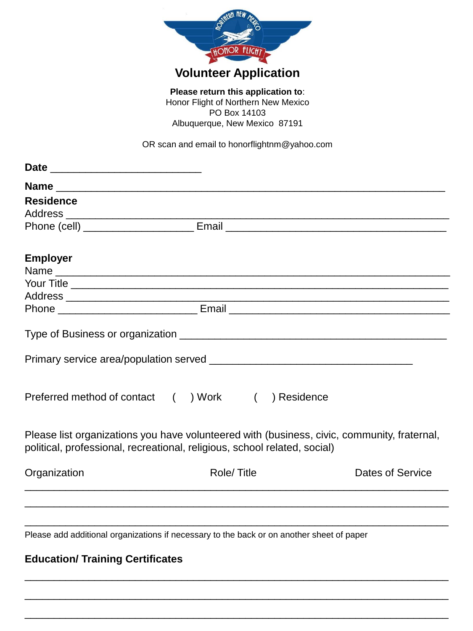

PO Box 14103 Albuquerque, New Mexico 87191

OR scan and email to honorflightnm@yahoo.com

| <b>Residence</b>                                                                                                                                                         |             |                         |
|--------------------------------------------------------------------------------------------------------------------------------------------------------------------------|-------------|-------------------------|
|                                                                                                                                                                          |             |                         |
|                                                                                                                                                                          |             |                         |
| <b>Employer</b>                                                                                                                                                          |             |                         |
|                                                                                                                                                                          |             |                         |
|                                                                                                                                                                          |             |                         |
|                                                                                                                                                                          |             |                         |
|                                                                                                                                                                          |             |                         |
| Preferred method of contact () Work (                                                                                                                                    | ) Residence |                         |
| Please list organizations you have volunteered with (business, civic, community, fraternal,<br>political, professional, recreational, religious, school related, social) |             |                         |
| Organization                                                                                                                                                             | Role/Title  | <b>Dates of Service</b> |
| Please add additional organizations if necessary to the back or on another sheet of paper                                                                                |             |                         |

\_\_\_\_\_\_\_\_\_\_\_\_\_\_\_\_\_\_\_\_\_\_\_\_\_\_\_\_\_\_\_\_\_\_\_\_\_\_\_\_\_\_\_\_\_\_\_\_\_\_\_\_\_\_\_\_\_\_\_\_\_\_\_\_\_\_\_\_\_\_\_\_\_

\_\_\_\_\_\_\_\_\_\_\_\_\_\_\_\_\_\_\_\_\_\_\_\_\_\_\_\_\_\_\_\_\_\_\_\_\_\_\_\_\_\_\_\_\_\_\_\_\_\_\_\_\_\_\_\_\_\_\_\_\_\_\_\_\_\_\_\_\_\_\_\_\_

\_\_\_\_\_\_\_\_\_\_\_\_\_\_\_\_\_\_\_\_\_\_\_\_\_\_\_\_\_\_\_\_\_\_\_\_\_\_\_\_\_\_\_\_\_\_\_\_\_\_\_\_\_\_\_\_\_\_\_\_\_\_\_\_\_\_\_\_\_\_\_\_\_

## **Education/ Training Certificates**